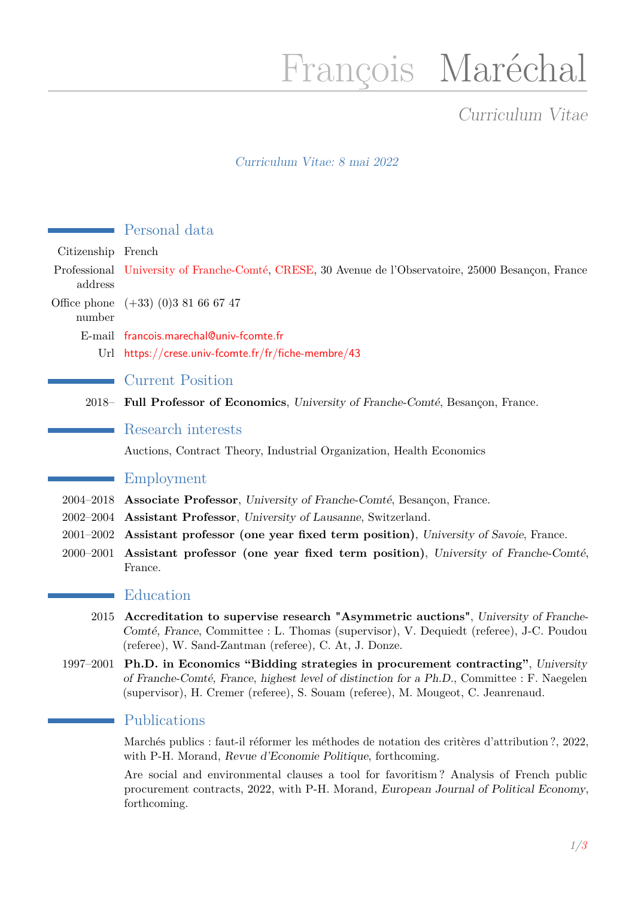# François Maréchal

## Curriculum Vitae

### Curriculum Vitae: 8 mai 2022

|                        | Personal data                                                                                                                                                                                                                                                      |
|------------------------|--------------------------------------------------------------------------------------------------------------------------------------------------------------------------------------------------------------------------------------------------------------------|
| Citizenship French     |                                                                                                                                                                                                                                                                    |
| address                | Professional University of Franche-Comté, CRESE, 30 Avenue de l'Observatoire, 25000 Besançon, France                                                                                                                                                               |
| Office phone<br>number | $(+33)$ (0) 381 66 67 47                                                                                                                                                                                                                                           |
|                        | E-mail francois.marechal@univ-fcomte.fr                                                                                                                                                                                                                            |
|                        | Url https://crese.univ-fcomte.fr/fr/fiche-membre/43                                                                                                                                                                                                                |
|                        | <b>Current Position</b>                                                                                                                                                                                                                                            |
|                        | 2018 Full Professor of Economics, University of Franche-Comté, Besançon, France.                                                                                                                                                                                   |
|                        | Research interests                                                                                                                                                                                                                                                 |
|                        | Auctions, Contract Theory, Industrial Organization, Health Economics                                                                                                                                                                                               |
|                        | Employment                                                                                                                                                                                                                                                         |
| 2004-2018              | Associate Professor, University of Franche-Comté, Besançon, France.                                                                                                                                                                                                |
|                        | 2002–2004 Assistant Professor, University of Lausanne, Switzerland.                                                                                                                                                                                                |
| $2001 - 2002$          | Assistant professor (one year fixed term position), University of Savoie, France.                                                                                                                                                                                  |
| $2000 - 2001$          | Assistant professor (one year fixed term position), University of Franche-Comté,<br>France.                                                                                                                                                                        |
|                        | Education                                                                                                                                                                                                                                                          |
| 2015                   | Accreditation to supervise research "Asymmetric auctions", University of Franche-<br>Comté, France, Committee : L. Thomas (supervisor), V. Dequiedt (referee), J-C. Poudou<br>(referee), W. Sand-Zantman (referee), C. At, J. Donze.                               |
| 1997-2001              | Ph.D. in Economics "Bidding strategies in procurement contracting", University<br>of Franche-Comté, France, highest level of distinction for a Ph.D., Committee : F. Naegelen<br>(supervisor), H. Cremer (referee), S. Souam (referee), M. Mougeot, C. Jeanrenaud. |
|                        | Publications                                                                                                                                                                                                                                                       |

Marchés publics : faut-il réformer les méthodes de notation des critères d'attribution ?, 2022, with P-H. Morand, Revue d'Economie Politique, forthcoming.

Are social and environmental clauses a tool for favoritism ? Analysis of French public procurement contracts, 2022, with P-H. Morand, European Journal of Political Economy, forthcoming.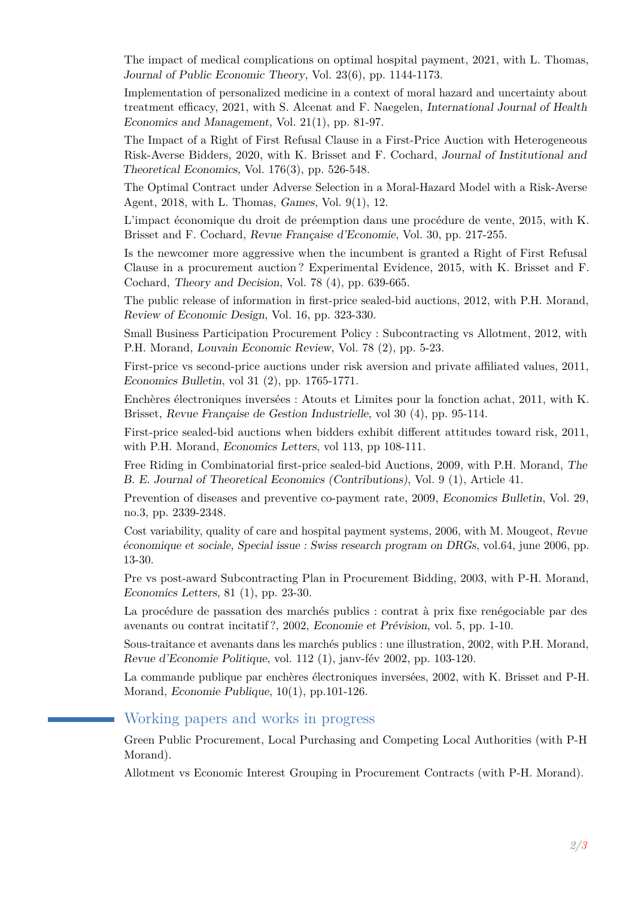The impact of medical complications on optimal hospital payment, 2021, with L. Thomas, Journal of Public Economic Theory, Vol. 23(6), pp. 1144-1173.

Implementation of personalized medicine in a context of moral hazard and uncertainty about treatment efficacy, 2021, with S. Alcenat and F. Naegelen, International Journal of Health Economics and Management, Vol. 21(1), pp. 81-97.

The Impact of a Right of First Refusal Clause in a First-Price Auction with Heterogeneous Risk-Averse Bidders, 2020, with K. Brisset and F. Cochard, Journal of Institutional and Theoretical Economics, Vol. 176(3), pp. 526-548.

The Optimal Contract under Adverse Selection in a Moral-Hazard Model with a Risk-Averse Agent, 2018, with L. Thomas, Games, Vol. 9(1), 12.

L'impact économique du droit de préemption dans une procédure de vente, 2015, with K. Brisset and F. Cochard, Revue Française d'Economie, Vol. 30, pp. 217-255.

Is the newcomer more aggressive when the incumbent is granted a Right of First Refusal Clause in a procurement auction ? Experimental Evidence, 2015, with K. Brisset and F. Cochard, Theory and Decision, Vol. 78 (4), pp. 639-665.

The public release of information in first-price sealed-bid auctions, 2012, with P.H. Morand, Review of Economic Design, Vol. 16, pp. 323-330.

Small Business Participation Procurement Policy : Subcontracting vs Allotment, 2012, with P.H. Morand, Louvain Economic Review, Vol. 78 (2), pp. 5-23.

First-price vs second-price auctions under risk aversion and private affiliated values, 2011, Economics Bulletin, vol 31 (2), pp. 1765-1771.

Enchères électroniques inversées : Atouts et Limites pour la fonction achat, 2011, with K. Brisset, Revue Française de Gestion Industrielle, vol 30 (4), pp. 95-114.

First-price sealed-bid auctions when bidders exhibit different attitudes toward risk, 2011, with P.H. Morand, Economics Letters, vol 113, pp 108-111.

Free Riding in Combinatorial first-price sealed-bid Auctions, 2009, with P.H. Morand, The B. E. Journal of Theoretical Economics (Contributions), Vol. 9 (1), Article 41.

Prevention of diseases and preventive co-payment rate, 2009, Economics Bulletin, Vol. 29, no.3, pp. 2339-2348.

Cost variability, quality of care and hospital payment systems, 2006, with M. Mougeot, Revue économique et sociale, Special issue : Swiss research program on DRGs, vol.64, june 2006, pp. 13-30.

Pre vs post-award Subcontracting Plan in Procurement Bidding, 2003, with P-H. Morand, Economics Letters, 81 (1), pp. 23-30.

La procédure de passation des marchés publics : contrat à prix fixe renégociable par des avenants ou contrat incitatif ?, 2002, Economie et Prévision, vol. 5, pp. 1-10.

Sous-traitance et avenants dans les marchés publics : une illustration, 2002, with P.H. Morand, Revue d'Economie Politique, vol. 112 (1), janv-fév 2002, pp. 103-120.

La commande publique par enchères électroniques inversées, 2002, with K. Brisset and P-H. Morand, Economie Publique, 10(1), pp.101-126.

#### Working papers and works in progress

Green Public Procurement, Local Purchasing and Competing Local Authorities (with P-H Morand).

Allotment vs Economic Interest Grouping in Procurement Contracts (with P-H. Morand).